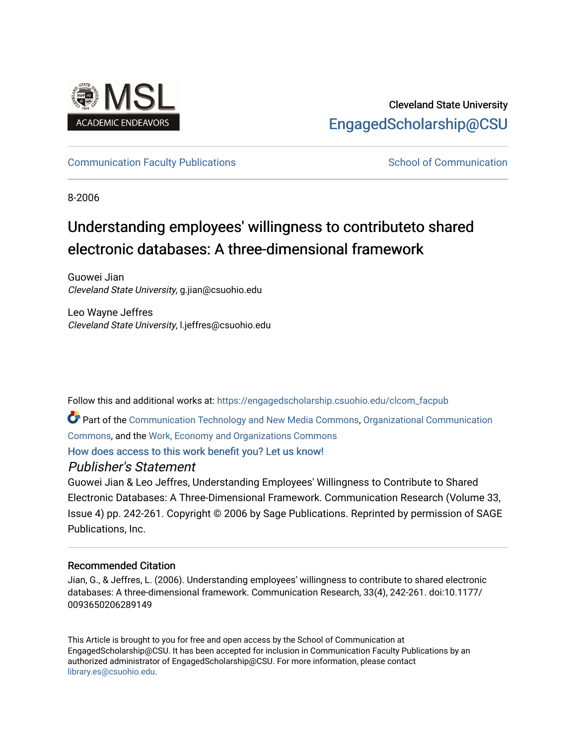

# Cleveland State University [EngagedScholarship@CSU](https://engagedscholarship.csuohio.edu/)

# [Communication Faculty Publications](https://engagedscholarship.csuohio.edu/clcom_facpub) [School of Communication](https://engagedscholarship.csuohio.edu/clcom) School of Communication

8-2006

# Understanding employees' willingness to contributeto shared electronic databases: A three-dimensional framework

Guowei Jian Cleveland State University, g.jian@csuohio.edu

Leo Wayne Jeffres Cleveland State University, l.jeffres@csuohio.edu

Follow this and additional works at: [https://engagedscholarship.csuohio.edu/clcom\\_facpub](https://engagedscholarship.csuohio.edu/clcom_facpub?utm_source=engagedscholarship.csuohio.edu%2Fclcom_facpub%2F14&utm_medium=PDF&utm_campaign=PDFCoverPages) 

Part of the [Communication Technology and New Media Commons,](http://network.bepress.com/hgg/discipline/327?utm_source=engagedscholarship.csuohio.edu%2Fclcom_facpub%2F14&utm_medium=PDF&utm_campaign=PDFCoverPages) Organizational Communication [Commons](http://network.bepress.com/hgg/discipline/335?utm_source=engagedscholarship.csuohio.edu%2Fclcom_facpub%2F14&utm_medium=PDF&utm_campaign=PDFCoverPages), and the [Work, Economy and Organizations Commons](http://network.bepress.com/hgg/discipline/433?utm_source=engagedscholarship.csuohio.edu%2Fclcom_facpub%2F14&utm_medium=PDF&utm_campaign=PDFCoverPages) 

[How does access to this work benefit you? Let us know!](http://library.csuohio.edu/engaged/)

# Publisher's Statement

Guowei Jian & Leo Jeffres, Understanding Employees' Willingness to Contribute to Shared Electronic Databases: A Three-Dimensional Framework. Communication Research (Volume 33, Issue 4) pp. 242-261. Copyright © 2006 by Sage Publications. Reprinted by permission of SAGE Publications, Inc.

# Recommended Citation

Jian, G., & Jeffres, L. (2006). Understanding employees' willingness to contribute to shared electronic databases: A three-dimensional framework. Communication Research, 33(4), 242-261. doi:10.1177/ 0093650206289149

This Article is brought to you for free and open access by the School of Communication at EngagedScholarship@CSU. It has been accepted for inclusion in Communication Faculty Publications by an authorized administrator of EngagedScholarship@CSU. For more information, please contact [library.es@csuohio.edu.](mailto:library.es@csuohio.edu)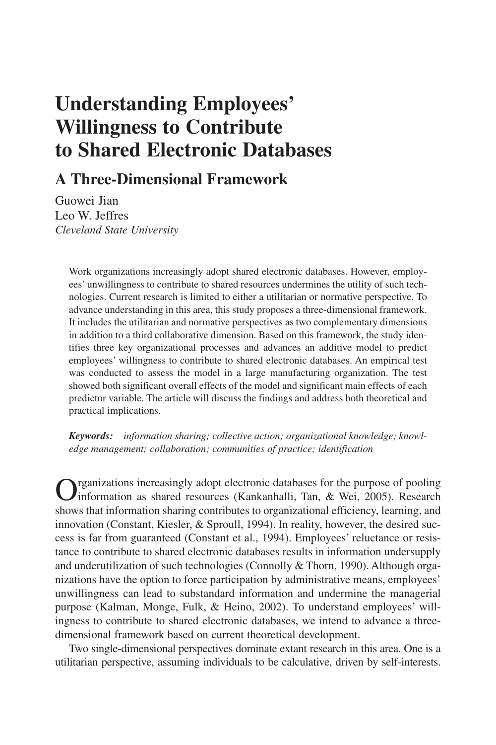# **Understanding Employees' Willingness to Contribute to Shared Electronic Databases**

# **A Three-Dimensional Framework**

Guowei Jian Leo W. Jeffres *Cleveland State University*

> Work organizations increasingly adopt shared electronic databases. However, employees' unwillingness to contribute to shared resources undermines the utility of such technologies. Current research is limited to either a utilitarian or normative perspective. To advance understanding in this area, this study proposes a three-dimensional framework. It includes the utilitarian and normative perspectives as two complementary dimensions in addition to a third collaborative dimension. Based on this framework, the study identifies three key organizational processes and advances an additive model to predict employees' willingness to contribute to shared electronic databases. An empirical test was conducted to assess the model in a large manufacturing organization. The test showed both significant overall effects of the model and significant main effects of each predictor variable. The article will discuss the findings and address both theoretical and practical implications.

> *Keywords: information sharing; collective action; organizational knowledge; knowledge management; collaboration; communities of practice; identification*

Organizations increasingly adopt electronic databases for the purpose of pooling information as shared resources (Kankanhalli, Tan, & Wei, 2005). Research shows that information sharing contributes to organizational efficiency, learning, and innovation (Constant, Kiesler, & Sproull, 1994). In reality, however, the desired success is far from guaranteed (Constant et al., 1994). Employees' reluctance or resistance to contribute to shared electronic databases results in information undersupply and underutilization of such technologies (Connolly & Thorn, 1990). Although organizations have the option to force participation by administrative means, employees' unwillingness can lead to substandard information and undermine the managerial purpose (Kalman, Monge, Fulk, & Heino, 2002). To understand employees' willingness to contribute to shared electronic databases, we intend to advance a threedimensional framework based on current theoretical development.

Two single-dimensional perspectives dominate extant research in this area. One is a utilitarian perspective, assuming individuals to be calculative, driven by self-interests.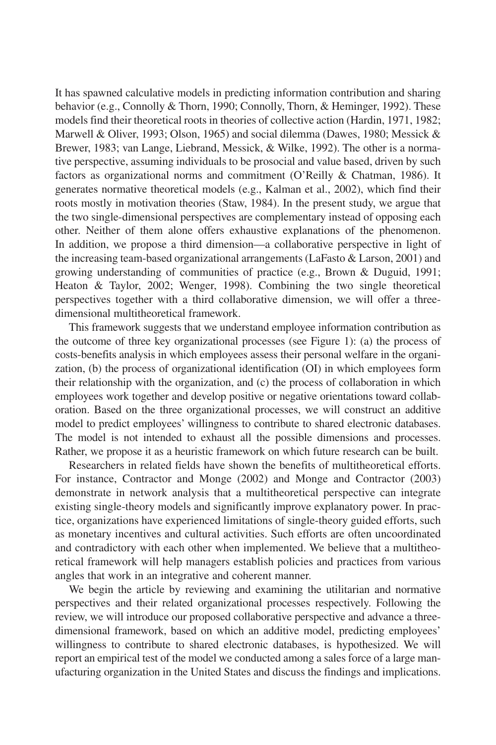It has spawned calculative models in predicting information contribution and sharing behavior (e.g., Connolly & Thorn, 1990; Connolly, Thorn, & Heminger, 1992). These models find their theoretical roots in theories of collective action (Hardin, 1971, 1982; Marwell & Oliver, 1993; Olson, 1965) and social dilemma (Dawes, 1980; Messick & Brewer, 1983; van Lange, Liebrand, Messick, & Wilke, 1992). The other is a normative perspective, assuming individuals to be prosocial and value based, driven by such factors as organizational norms and commitment (O'Reilly & Chatman, 1986). It generates normative theoretical models (e.g., Kalman et al., 2002), which find their roots mostly in motivation theories (Staw, 1984). In the present study, we argue that the two single-dimensional perspectives are complementary instead of opposing each other. Neither of them alone offers exhaustive explanations of the phenomenon. In addition, we propose a third dimension—a collaborative perspective in light of the increasing team-based organizational arrangements (LaFasto & Larson, 2001) and growing understanding of communities of practice (e.g., Brown & Duguid, 1991; Heaton & Taylor, 2002; Wenger, 1998). Combining the two single theoretical perspectives together with a third collaborative dimension, we will offer a threedimensional multitheoretical framework.

This framework suggests that we understand employee information contribution as the outcome of three key organizational processes (see Figure 1): (a) the process of costs-benefits analysis in which employees assess their personal welfare in the organization, (b) the process of organizational identification (OI) in which employees form their relationship with the organization, and (c) the process of collaboration in which employees work together and develop positive or negative orientations toward collaboration. Based on the three organizational processes, we will construct an additive model to predict employees' willingness to contribute to shared electronic databases. The model is not intended to exhaust all the possible dimensions and processes. Rather, we propose it as a heuristic framework on which future research can be built.

Researchers in related fields have shown the benefits of multitheoretical efforts. For instance, Contractor and Monge (2002) and Monge and Contractor (2003) demonstrate in network analysis that a multitheoretical perspective can integrate existing single-theory models and significantly improve explanatory power. In practice, organizations have experienced limitations of single-theory guided efforts, such as monetary incentives and cultural activities. Such efforts are often uncoordinated and contradictory with each other when implemented. We believe that a multitheoretical framework will help managers establish policies and practices from various angles that work in an integrative and coherent manner.

We begin the article by reviewing and examining the utilitarian and normative perspectives and their related organizational processes respectively. Following the review, we will introduce our proposed collaborative perspective and advance a threedimensional framework, based on which an additive model, predicting employees' willingness to contribute to shared electronic databases, is hypothesized. We will report an empirical test of the model we conducted among a sales force of a large manufacturing organization in the United States and discuss the findings and implications.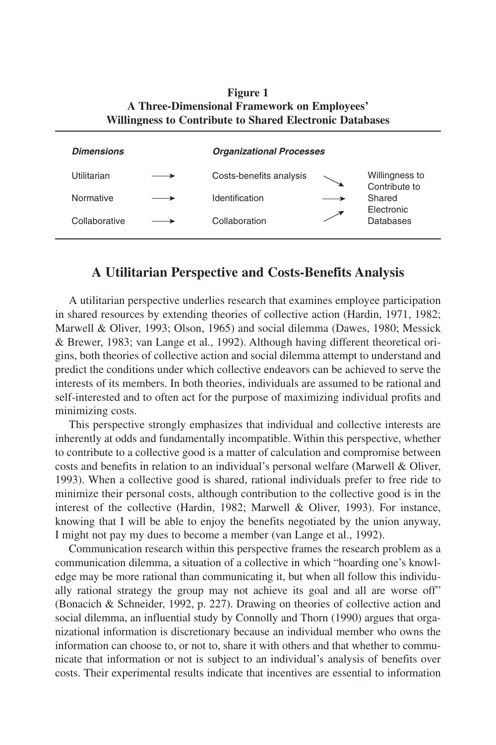| <b>Figure 1</b>                                          |
|----------------------------------------------------------|
| A Three-Dimensional Framework on Employees'              |
| Willingness to Contribute to Shared Electronic Databases |

| <b>Dimensions</b> | <b>Organizational Processes</b> |  |                                 |  |
|-------------------|---------------------------------|--|---------------------------------|--|
| Utilitarian       | Costs-benefits analysis         |  | Willingness to<br>Contribute to |  |
| Normative         | Identification                  |  | Shared<br>Electronic            |  |
| Collaborative     | Collaboration                   |  | Databases                       |  |

## **A Utilitarian Perspective and Costs-Benefits Analysis**

A utilitarian perspective underlies research that examines employee participation in shared resources by extending theories of collective action (Hardin, 1971, 1982; Marwell & Oliver, 1993; Olson, 1965) and social dilemma (Dawes, 1980; Messick & Brewer, 1983; van Lange et al., 1992). Although having different theoretical origins, both theories of collective action and social dilemma attempt to understand and predict the conditions under which collective endeavors can be achieved to serve the interests of its members. In both theories, individuals are assumed to be rational and self-interested and to often act for the purpose of maximizing individual profits and minimizing costs.

This perspective strongly emphasizes that individual and collective interests are inherently at odds and fundamentally incompatible. Within this perspective, whether to contribute to a collective good is a matter of calculation and compromise between costs and benefits in relation to an individual's personal welfare (Marwell & Oliver, 1993). When a collective good is shared, rational individuals prefer to free ride to minimize their personal costs, although contribution to the collective good is in the interest of the collective (Hardin, 1982; Marwell & Oliver, 1993). For instance, knowing that I will be able to enjoy the benefits negotiated by the union anyway, I might not pay my dues to become a member (van Lange et al., 1992).

Communication research within this perspective frames the research problem as a communication dilemma, a situation of a collective in which "hoarding one's knowledge may be more rational than communicating it, but when all follow this individually rational strategy the group may not achieve its goal and all are worse off" (Bonacich & Schneider, 1992, p. 227). Drawing on theories of collective action and social dilemma, an influential study by Connolly and Thorn (1990) argues that organizational information is discretionary because an individual member who owns the information can choose to, or not to, share it with others and that whether to communicate that information or not is subject to an individual's analysis of benefits over costs. Their experimental results indicate that incentives are essential to information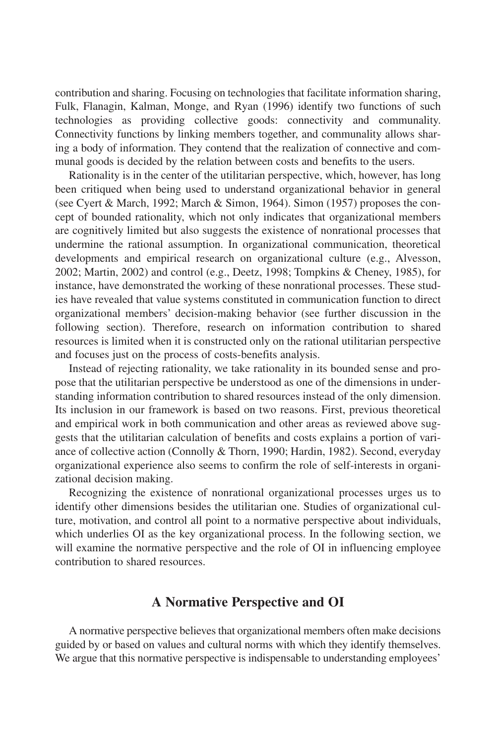contribution and sharing. Focusing on technologies that facilitate information sharing, Fulk, Flanagin, Kalman, Monge, and Ryan (1996) identify two functions of such technologies as providing collective goods: connectivity and communality. Connectivity functions by linking members together, and communality allows sharing a body of information. They contend that the realization of connective and communal goods is decided by the relation between costs and benefits to the users.

Rationality is in the center of the utilitarian perspective, which, however, has long been critiqued when being used to understand organizational behavior in general (see Cyert & March, 1992; March & Simon, 1964). Simon (1957) proposes the concept of bounded rationality, which not only indicates that organizational members are cognitively limited but also suggests the existence of nonrational processes that undermine the rational assumption. In organizational communication, theoretical developments and empirical research on organizational culture (e.g., Alvesson, 2002; Martin, 2002) and control (e.g., Deetz, 1998; Tompkins & Cheney, 1985), for instance, have demonstrated the working of these nonrational processes. These studies have revealed that value systems constituted in communication function to direct organizational members' decision-making behavior (see further discussion in the following section). Therefore, research on information contribution to shared resources is limited when it is constructed only on the rational utilitarian perspective and focuses just on the process of costs-benefits analysis.

Instead of rejecting rationality, we take rationality in its bounded sense and propose that the utilitarian perspective be understood as one of the dimensions in understanding information contribution to shared resources instead of the only dimension. Its inclusion in our framework is based on two reasons. First, previous theoretical and empirical work in both communication and other areas as reviewed above suggests that the utilitarian calculation of benefits and costs explains a portion of variance of collective action (Connolly & Thorn, 1990; Hardin, 1982). Second, everyday organizational experience also seems to confirm the role of self-interests in organizational decision making.

Recognizing the existence of nonrational organizational processes urges us to identify other dimensions besides the utilitarian one. Studies of organizational culture, motivation, and control all point to a normative perspective about individuals, which underlies OI as the key organizational process. In the following section, we will examine the normative perspective and the role of OI in influencing employee contribution to shared resources.

# **A Normative Perspective and OI**

A normative perspective believes that organizational members often make decisions guided by or based on values and cultural norms with which they identify themselves. We argue that this normative perspective is indispensable to understanding employees'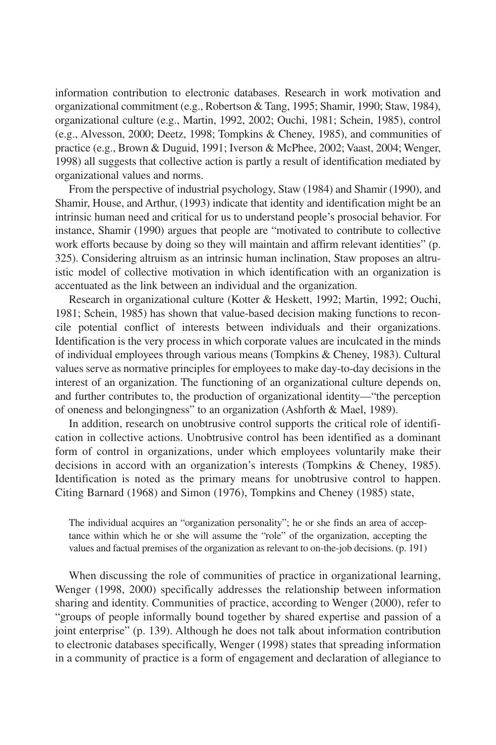information contribution to electronic databases. Research in work motivation and organizational commitment (e.g., Robertson & Tang, 1995; Shamir, 1990; Staw, 1984), organizational culture (e.g., Martin, 1992, 2002; Ouchi, 1981; Schein, 1985), control (e.g., Alvesson, 2000; Deetz, 1998; Tompkins & Cheney, 1985), and communities of practice (e.g., Brown & Duguid, 1991; Iverson & McPhee, 2002; Vaast, 2004; Wenger, 1998) all suggests that collective action is partly a result of identification mediated by organizational values and norms.

From the perspective of industrial psychology, Staw (1984) and Shamir (1990), and Shamir, House, and Arthur, (1993) indicate that identity and identification might be an intrinsic human need and critical for us to understand people's prosocial behavior. For instance, Shamir (1990) argues that people are "motivated to contribute to collective work efforts because by doing so they will maintain and affirm relevant identities" (p. 325). Considering altruism as an intrinsic human inclination, Staw proposes an altruistic model of collective motivation in which identification with an organization is accentuated as the link between an individual and the organization.

Research in organizational culture (Kotter & Heskett, 1992; Martin, 1992; Ouchi, 1981; Schein, 1985) has shown that value-based decision making functions to reconcile potential conflict of interests between individuals and their organizations. Identification is the very process in which corporate values are inculcated in the minds of individual employees through various means (Tompkins & Cheney, 1983). Cultural values serve as normative principles for employees to make day-to-day decisions in the interest of an organization. The functioning of an organizational culture depends on, and further contributes to, the production of organizational identity—"the perception of oneness and belongingness" to an organization (Ashforth & Mael, 1989).

In addition, research on unobtrusive control supports the critical role of identification in collective actions. Unobtrusive control has been identified as a dominant form of control in organizations, under which employees voluntarily make their decisions in accord with an organization's interests (Tompkins & Cheney, 1985). Identification is noted as the primary means for unobtrusive control to happen. Citing Barnard (1968) and Simon (1976), Tompkins and Cheney (1985) state,

The individual acquires an "organization personality"; he or she finds an area of acceptance within which he or she will assume the "role" of the organization, accepting the values and factual premises of the organization as relevant to on-the-job decisions. (p. 191)

When discussing the role of communities of practice in organizational learning, Wenger (1998, 2000) specifically addresses the relationship between information sharing and identity. Communities of practice, according to Wenger (2000), refer to "groups of people informally bound together by shared expertise and passion of a joint enterprise" (p. 139). Although he does not talk about information contribution to electronic databases specifically, Wenger (1998) states that spreading information in a community of practice is a form of engagement and declaration of allegiance to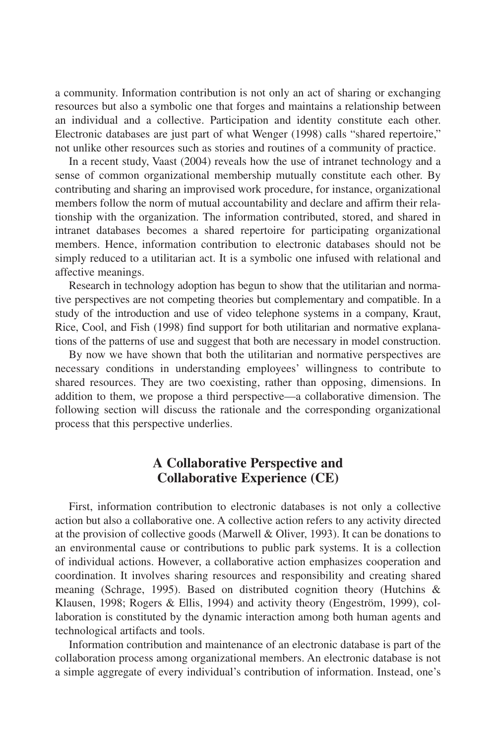a community. Information contribution is not only an act of sharing or exchanging resources but also a symbolic one that forges and maintains a relationship between an individual and a collective. Participation and identity constitute each other. Electronic databases are just part of what Wenger (1998) calls "shared repertoire," not unlike other resources such as stories and routines of a community of practice.

In a recent study, Vaast (2004) reveals how the use of intranet technology and a sense of common organizational membership mutually constitute each other. By contributing and sharing an improvised work procedure, for instance, organizational members follow the norm of mutual accountability and declare and affirm their relationship with the organization. The information contributed, stored, and shared in intranet databases becomes a shared repertoire for participating organizational members. Hence, information contribution to electronic databases should not be simply reduced to a utilitarian act. It is a symbolic one infused with relational and affective meanings.

Research in technology adoption has begun to show that the utilitarian and normative perspectives are not competing theories but complementary and compatible. In a study of the introduction and use of video telephone systems in a company, Kraut, Rice, Cool, and Fish (1998) find support for both utilitarian and normative explanations of the patterns of use and suggest that both are necessary in model construction.

By now we have shown that both the utilitarian and normative perspectives are necessary conditions in understanding employees' willingness to contribute to shared resources. They are two coexisting, rather than opposing, dimensions. In addition to them, we propose a third perspective—a collaborative dimension. The following section will discuss the rationale and the corresponding organizational process that this perspective underlies.

# **A Collaborative Perspective and Collaborative Experience (CE)**

First, information contribution to electronic databases is not only a collective action but also a collaborative one. A collective action refers to any activity directed at the provision of collective goods (Marwell & Oliver, 1993). It can be donations to an environmental cause or contributions to public park systems. It is a collection of individual actions. However, a collaborative action emphasizes cooperation and coordination. It involves sharing resources and responsibility and creating shared meaning (Schrage, 1995). Based on distributed cognition theory (Hutchins & Klausen, 1998; Rogers & Ellis, 1994) and activity theory (Engeström, 1999), collaboration is constituted by the dynamic interaction among both human agents and technological artifacts and tools.

Information contribution and maintenance of an electronic database is part of the collaboration process among organizational members. An electronic database is not a simple aggregate of every individual's contribution of information. Instead, one's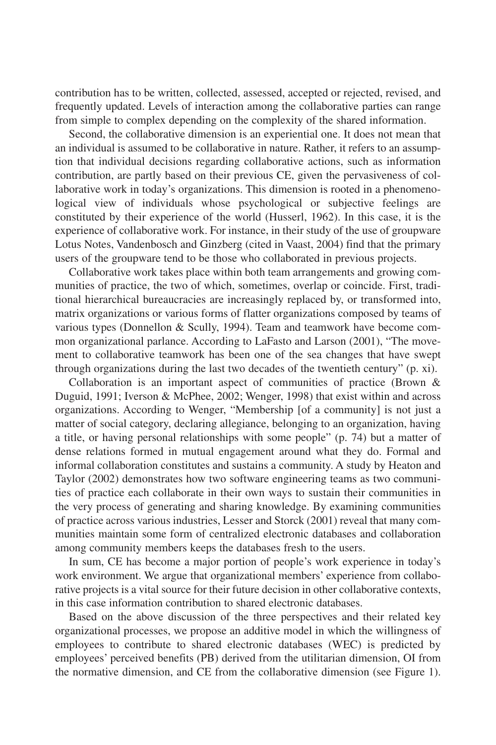contribution has to be written, collected, assessed, accepted or rejected, revised, and frequently updated. Levels of interaction among the collaborative parties can range from simple to complex depending on the complexity of the shared information.

Second, the collaborative dimension is an experiential one. It does not mean that an individual is assumed to be collaborative in nature. Rather, it refers to an assumption that individual decisions regarding collaborative actions, such as information contribution, are partly based on their previous CE, given the pervasiveness of collaborative work in today's organizations. This dimension is rooted in a phenomenological view of individuals whose psychological or subjective feelings are constituted by their experience of the world (Husserl, 1962). In this case, it is the experience of collaborative work. For instance, in their study of the use of groupware Lotus Notes, Vandenbosch and Ginzberg (cited in Vaast, 2004) find that the primary users of the groupware tend to be those who collaborated in previous projects.

Collaborative work takes place within both team arrangements and growing communities of practice, the two of which, sometimes, overlap or coincide. First, traditional hierarchical bureaucracies are increasingly replaced by, or transformed into, matrix organizations or various forms of flatter organizations composed by teams of various types (Donnellon & Scully, 1994). Team and teamwork have become common organizational parlance. According to LaFasto and Larson (2001), "The movement to collaborative teamwork has been one of the sea changes that have swept through organizations during the last two decades of the twentieth century" (p. xi).

Collaboration is an important aspect of communities of practice (Brown & Duguid, 1991; Iverson & McPhee, 2002; Wenger, 1998) that exist within and across organizations. According to Wenger, "Membership [of a community] is not just a matter of social category, declaring allegiance, belonging to an organization, having a title, or having personal relationships with some people" (p. 74) but a matter of dense relations formed in mutual engagement around what they do. Formal and informal collaboration constitutes and sustains a community. A study by Heaton and Taylor (2002) demonstrates how two software engineering teams as two communities of practice each collaborate in their own ways to sustain their communities in the very process of generating and sharing knowledge. By examining communities of practice across various industries, Lesser and Storck (2001) reveal that many communities maintain some form of centralized electronic databases and collaboration among community members keeps the databases fresh to the users.

In sum, CE has become a major portion of people's work experience in today's work environment. We argue that organizational members' experience from collaborative projects is a vital source for their future decision in other collaborative contexts, in this case information contribution to shared electronic databases.

Based on the above discussion of the three perspectives and their related key organizational processes, we propose an additive model in which the willingness of employees to contribute to shared electronic databases (WEC) is predicted by employees' perceived benefits (PB) derived from the utilitarian dimension, OI from the normative dimension, and CE from the collaborative dimension (see Figure 1).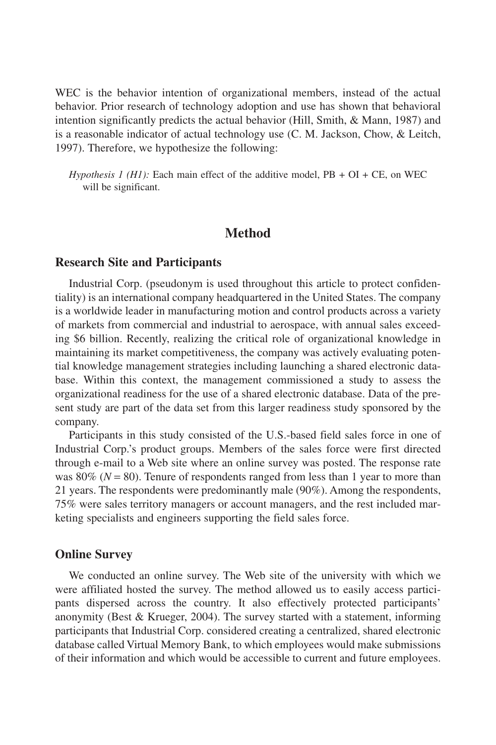WEC is the behavior intention of organizational members, instead of the actual behavior. Prior research of technology adoption and use has shown that behavioral intention significantly predicts the actual behavior (Hill, Smith, & Mann, 1987) and is a reasonable indicator of actual technology use (C. M. Jackson, Chow, & Leitch, 1997). Therefore, we hypothesize the following:

*Hypothesis 1 (H1):* Each main effect of the additive model,  $PB + OI + CE$ , on WEC will be significant.

## **Method**

#### **Research Site and Participants**

Industrial Corp. (pseudonym is used throughout this article to protect confidentiality) is an international company headquartered in the United States. The company is a worldwide leader in manufacturing motion and control products across a variety of markets from commercial and industrial to aerospace, with annual sales exceeding \$6 billion. Recently, realizing the critical role of organizational knowledge in maintaining its market competitiveness, the company was actively evaluating potential knowledge management strategies including launching a shared electronic database. Within this context, the management commissioned a study to assess the organizational readiness for the use of a shared electronic database. Data of the present study are part of the data set from this larger readiness study sponsored by the company.

Participants in this study consisted of the U.S.-based field sales force in one of Industrial Corp.'s product groups. Members of the sales force were first directed through e-mail to a Web site where an online survey was posted. The response rate was  $80\%$  ( $N = 80$ ). Tenure of respondents ranged from less than 1 year to more than 21 years. The respondents were predominantly male (90%). Among the respondents, 75% were sales territory managers or account managers, and the rest included marketing specialists and engineers supporting the field sales force.

#### **Online Survey**

We conducted an online survey. The Web site of the university with which we were affiliated hosted the survey. The method allowed us to easily access participants dispersed across the country. It also effectively protected participants' anonymity (Best & Krueger, 2004). The survey started with a statement, informing participants that Industrial Corp. considered creating a centralized, shared electronic database called Virtual Memory Bank, to which employees would make submissions of their information and which would be accessible to current and future employees.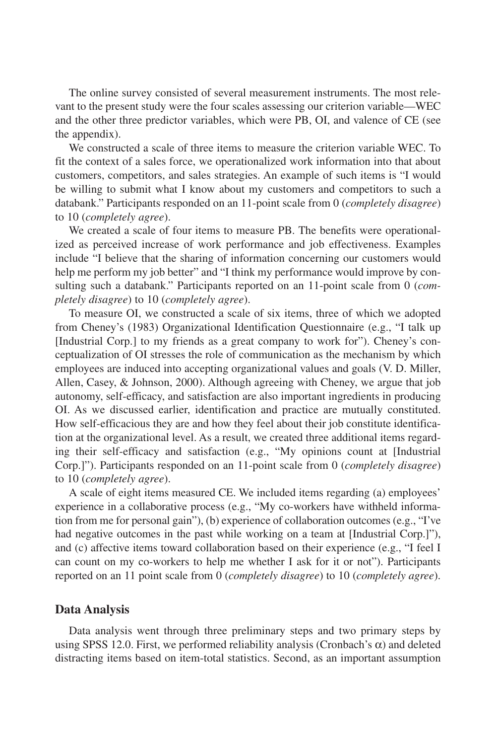The online survey consisted of several measurement instruments. The most relevant to the present study were the four scales assessing our criterion variable—WEC and the other three predictor variables, which were PB, OI, and valence of CE (see the appendix).

We constructed a scale of three items to measure the criterion variable WEC. To fit the context of a sales force, we operationalized work information into that about customers, competitors, and sales strategies. An example of such items is "I would be willing to submit what I know about my customers and competitors to such a databank." Participants responded on an 11-point scale from 0 (*completely disagree*) to 10 (*completely agree*).

We created a scale of four items to measure PB. The benefits were operationalized as perceived increase of work performance and job effectiveness. Examples include "I believe that the sharing of information concerning our customers would help me perform my job better" and "I think my performance would improve by consulting such a databank." Participants reported on an 11-point scale from 0 (*completely disagree*) to 10 (*completely agree*).

To measure OI, we constructed a scale of six items, three of which we adopted from Cheney's (1983) Organizational Identification Questionnaire (e.g., "I talk up [Industrial Corp.] to my friends as a great company to work for"). Cheney's conceptualization of OI stresses the role of communication as the mechanism by which employees are induced into accepting organizational values and goals (V. D. Miller, Allen, Casey, & Johnson, 2000). Although agreeing with Cheney, we argue that job autonomy, self-efficacy, and satisfaction are also important ingredients in producing OI. As we discussed earlier, identification and practice are mutually constituted. How self-efficacious they are and how they feel about their job constitute identification at the organizational level. As a result, we created three additional items regarding their self-efficacy and satisfaction (e.g., "My opinions count at [Industrial Corp.]"). Participants responded on an 11-point scale from 0 (*completely disagree*) to 10 (*completely agree*).

A scale of eight items measured CE. We included items regarding (a) employees' experience in a collaborative process (e.g., "My co-workers have withheld information from me for personal gain"), (b) experience of collaboration outcomes (e.g., "I've had negative outcomes in the past while working on a team at [Industrial Corp.]"), and (c) affective items toward collaboration based on their experience (e.g., "I feel I can count on my co-workers to help me whether I ask for it or not"). Participants reported on an 11 point scale from 0 (*completely disagree*) to 10 (*completely agree*).

#### **Data Analysis**

Data analysis went through three preliminary steps and two primary steps by using SPSS 12.0. First, we performed reliability analysis (Cronbach's  $\alpha$ ) and deleted distracting items based on item-total statistics. Second, as an important assumption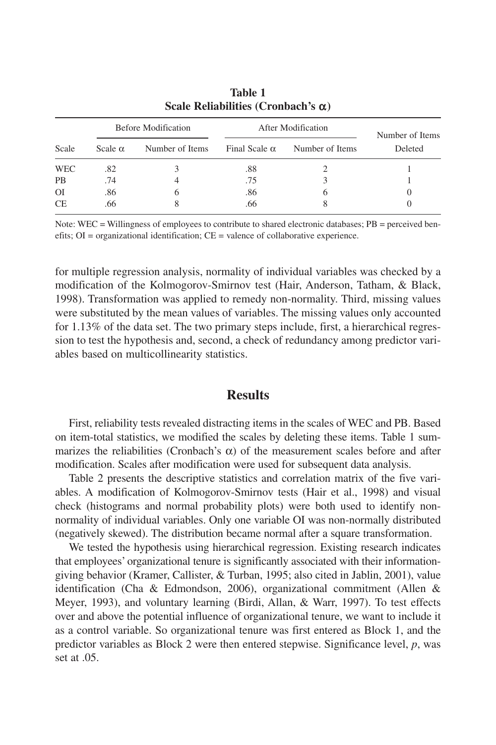|                | <b>Before Modification</b> |                 | After Modification   | Number of Items |         |
|----------------|----------------------------|-----------------|----------------------|-----------------|---------|
| Scale          | Scale $\alpha$             | Number of Items | Final Scale $\alpha$ | Number of Items | Deleted |
| <b>WEC</b>     | .82                        |                 | .88                  |                 |         |
| <b>PB</b>      | .74                        |                 | .75                  |                 |         |
| O <sub>I</sub> | .86                        | h               | .86                  | h               |         |
| CE             | .66                        |                 | .66                  | 8               |         |

**Table 1 Scale Reliabilities (Cronbach's** α**)**

Note: WEC = Willingness of employees to contribute to shared electronic databases; PB = perceived benefits; OI = organizational identification; CE = valence of collaborative experience.

for multiple regression analysis, normality of individual variables was checked by a modification of the Kolmogorov-Smirnov test (Hair, Anderson, Tatham, & Black, 1998). Transformation was applied to remedy non-normality. Third, missing values were substituted by the mean values of variables. The missing values only accounted for 1.13% of the data set. The two primary steps include, first, a hierarchical regression to test the hypothesis and, second, a check of redundancy among predictor variables based on multicollinearity statistics.

#### **Results**

First, reliability tests revealed distracting items in the scales of WEC and PB. Based on item-total statistics, we modified the scales by deleting these items. Table 1 summarizes the reliabilities (Cronbach's  $\alpha$ ) of the measurement scales before and after modification. Scales after modification were used for subsequent data analysis.

Table 2 presents the descriptive statistics and correlation matrix of the five variables. A modification of Kolmogorov-Smirnov tests (Hair et al., 1998) and visual check (histograms and normal probability plots) were both used to identify nonnormality of individual variables. Only one variable OI was non-normally distributed (negatively skewed). The distribution became normal after a square transformation.

We tested the hypothesis using hierarchical regression. Existing research indicates that employees' organizational tenure is significantly associated with their informationgiving behavior (Kramer, Callister, & Turban, 1995; also cited in Jablin, 2001), value identification (Cha & Edmondson, 2006), organizational commitment (Allen & Meyer, 1993), and voluntary learning (Birdi, Allan, & Warr, 1997). To test effects over and above the potential influence of organizational tenure, we want to include it as a control variable. So organizational tenure was first entered as Block 1, and the predictor variables as Block 2 were then entered stepwise. Significance level, *p*, was set at .05.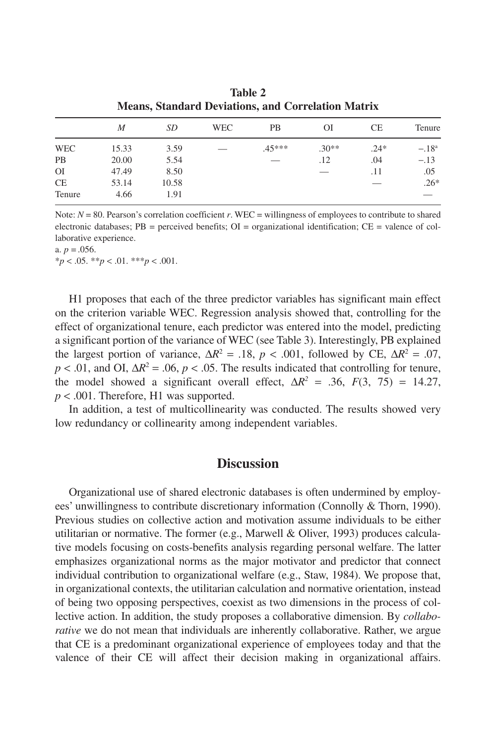|                | <u>ivicalis, Bianual u Deviativiis, anu Culterativii iviati ix</u> |       |            |           |         |        |                |
|----------------|--------------------------------------------------------------------|-------|------------|-----------|---------|--------|----------------|
|                | M                                                                  | SD    | <b>WEC</b> | <b>PB</b> | ОI      | СE     | Tenure         |
| <b>WEC</b>     | 15.33                                                              | 3.59  |            | $.45***$  | $.30**$ | $.24*$ | $-.18^{\circ}$ |
| <b>PB</b>      | 20.00                                                              | 5.54  |            |           | .12     | .04    | $-.13$         |
| O <sub>I</sub> | 47.49                                                              | 8.50  |            |           |         | .11    | .05            |
| <b>CE</b>      | 53.14                                                              | 10.58 |            |           |         |        | $.26*$         |
| Tenure         | 4.66                                                               | 1.91  |            |           |         |        |                |

**Table 2 Means, Standard Deviations, and Correlation Matrix**

Note:  $N = 80$ . Pearson's correlation coefficient *r*. WEC = willingness of employees to contribute to shared electronic databases;  $PB$  = perceived benefits;  $OI$  = organizational identification;  $CE$  = valence of collaborative experience.

a.  $p = 0.056$ .

\**p* < .05. \*\**p* < .01. \*\*\**p* < .001.

H1 proposes that each of the three predictor variables has significant main effect on the criterion variable WEC. Regression analysis showed that, controlling for the effect of organizational tenure, each predictor was entered into the model, predicting a significant portion of the variance of WEC (see Table 3). Interestingly, PB explained the largest portion of variance,  $\Delta R^2 = .18$ ,  $p < .001$ , followed by CE,  $\Delta R^2 = .07$ ,  $p < .01$ , and OI,  $\Delta R^2 = .06$ ,  $p < .05$ . The results indicated that controlling for tenure, the model showed a significant overall effect,  $\Delta R^2 = .36$ ,  $F(3, 75) = 14.27$ , *p* < .001. Therefore, H1 was supported.

In addition, a test of multicollinearity was conducted. The results showed very low redundancy or collinearity among independent variables.

### **Discussion**

Organizational use of shared electronic databases is often undermined by employees' unwillingness to contribute discretionary information (Connolly & Thorn, 1990). Previous studies on collective action and motivation assume individuals to be either utilitarian or normative. The former (e.g., Marwell & Oliver, 1993) produces calculative models focusing on costs-benefits analysis regarding personal welfare. The latter emphasizes organizational norms as the major motivator and predictor that connect individual contribution to organizational welfare (e.g., Staw, 1984). We propose that, in organizational contexts, the utilitarian calculation and normative orientation, instead of being two opposing perspectives, coexist as two dimensions in the process of collective action. In addition, the study proposes a collaborative dimension. By *collaborative* we do not mean that individuals are inherently collaborative. Rather, we argue that CE is a predominant organizational experience of employees today and that the valence of their CE will affect their decision making in organizational affairs.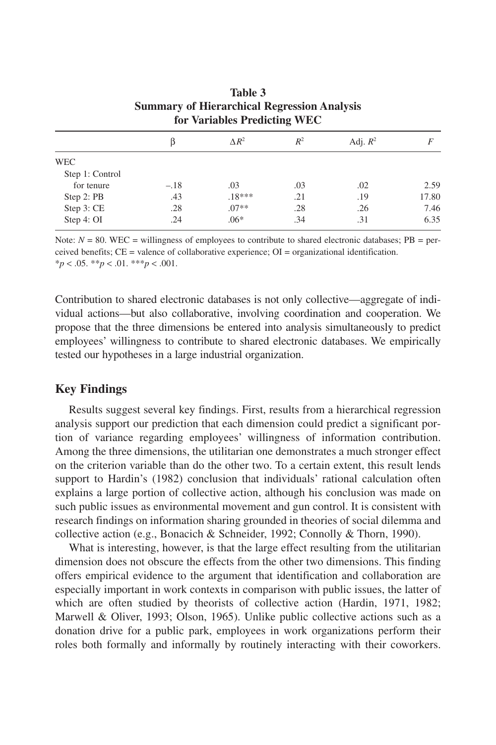| for variables Predicting WEC |        |              |       |            |       |
|------------------------------|--------|--------------|-------|------------|-------|
|                              |        | $\Delta R^2$ | $R^2$ | Adj. $R^2$ | F     |
| <b>WEC</b>                   |        |              |       |            |       |
| Step 1: Control              |        |              |       |            |       |
| for tenure                   | $-.18$ | .03          | .03   | .02        | 2.59  |
| Step 2: PB                   | .43    | $.18***$     | .21   | .19        | 17.80 |
| Step 3: CE                   | .28    | $.07**$      | .28   | .26        | 7.46  |
| Step 4: OI                   | .24    | $.06*$       | .34   | .31        | 6.35  |

| Table 3                                            |
|----------------------------------------------------|
| <b>Summary of Hierarchical Regression Analysis</b> |
| for Variables Predicting WEC                       |

Note:  $N = 80$ . WEC = willingness of employees to contribute to shared electronic databases; PB = perceived benefits; CE = valence of collaborative experience; OI = organizational identification. \**p* < .05. \*\**p* < .01. \*\*\**p* < .001.

Contribution to shared electronic databases is not only collective—aggregate of individual actions—but also collaborative, involving coordination and cooperation. We propose that the three dimensions be entered into analysis simultaneously to predict employees' willingness to contribute to shared electronic databases. We empirically tested our hypotheses in a large industrial organization.

### **Key Findings**

Results suggest several key findings. First, results from a hierarchical regression analysis support our prediction that each dimension could predict a significant portion of variance regarding employees' willingness of information contribution. Among the three dimensions, the utilitarian one demonstrates a much stronger effect on the criterion variable than do the other two. To a certain extent, this result lends support to Hardin's (1982) conclusion that individuals' rational calculation often explains a large portion of collective action, although his conclusion was made on such public issues as environmental movement and gun control. It is consistent with research findings on information sharing grounded in theories of social dilemma and collective action (e.g., Bonacich & Schneider, 1992; Connolly & Thorn, 1990).

What is interesting, however, is that the large effect resulting from the utilitarian dimension does not obscure the effects from the other two dimensions. This finding offers empirical evidence to the argument that identification and collaboration are especially important in work contexts in comparison with public issues, the latter of which are often studied by theorists of collective action (Hardin, 1971, 1982; Marwell & Oliver, 1993; Olson, 1965). Unlike public collective actions such as a donation drive for a public park, employees in work organizations perform their roles both formally and informally by routinely interacting with their coworkers.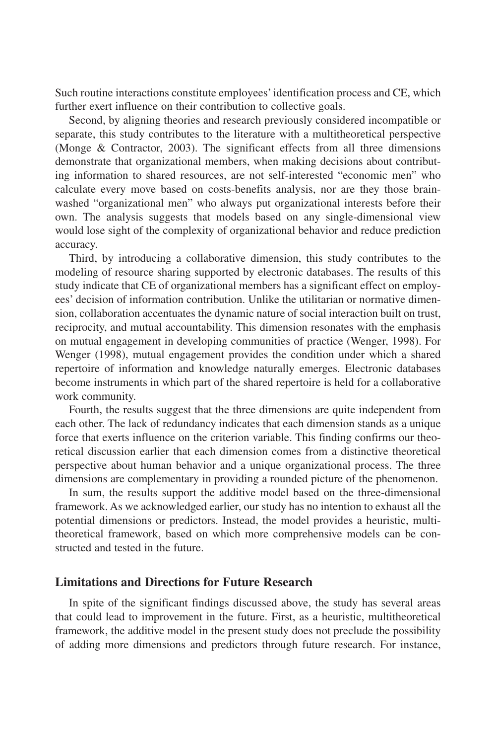Such routine interactions constitute employees' identification process and CE, which further exert influence on their contribution to collective goals.

Second, by aligning theories and research previously considered incompatible or separate, this study contributes to the literature with a multitheoretical perspective (Monge & Contractor, 2003). The significant effects from all three dimensions demonstrate that organizational members, when making decisions about contributing information to shared resources, are not self-interested "economic men" who calculate every move based on costs-benefits analysis, nor are they those brainwashed "organizational men" who always put organizational interests before their own. The analysis suggests that models based on any single-dimensional view would lose sight of the complexity of organizational behavior and reduce prediction accuracy.

Third, by introducing a collaborative dimension, this study contributes to the modeling of resource sharing supported by electronic databases. The results of this study indicate that CE of organizational members has a significant effect on employees' decision of information contribution. Unlike the utilitarian or normative dimension, collaboration accentuates the dynamic nature of social interaction built on trust, reciprocity, and mutual accountability. This dimension resonates with the emphasis on mutual engagement in developing communities of practice (Wenger, 1998). For Wenger (1998), mutual engagement provides the condition under which a shared repertoire of information and knowledge naturally emerges. Electronic databases become instruments in which part of the shared repertoire is held for a collaborative work community.

Fourth, the results suggest that the three dimensions are quite independent from each other. The lack of redundancy indicates that each dimension stands as a unique force that exerts influence on the criterion variable. This finding confirms our theoretical discussion earlier that each dimension comes from a distinctive theoretical perspective about human behavior and a unique organizational process. The three dimensions are complementary in providing a rounded picture of the phenomenon.

In sum, the results support the additive model based on the three-dimensional framework. As we acknowledged earlier, our study has no intention to exhaust all the potential dimensions or predictors. Instead, the model provides a heuristic, multitheoretical framework, based on which more comprehensive models can be constructed and tested in the future.

#### **Limitations and Directions for Future Research**

In spite of the significant findings discussed above, the study has several areas that could lead to improvement in the future. First, as a heuristic, multitheoretical framework, the additive model in the present study does not preclude the possibility of adding more dimensions and predictors through future research. For instance,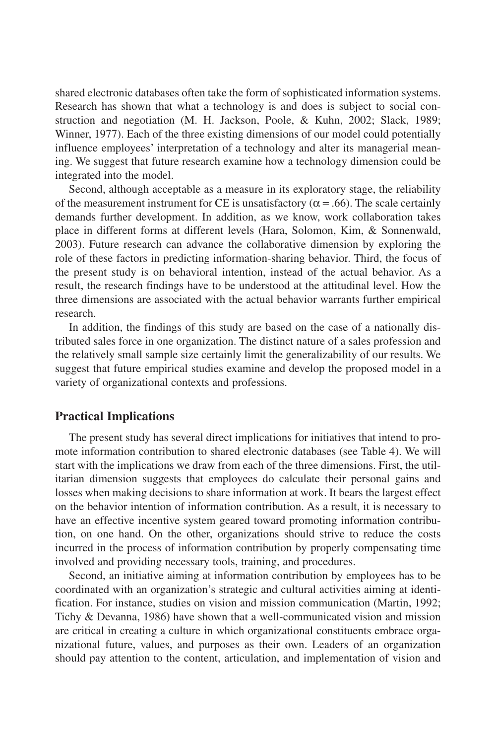shared electronic databases often take the form of sophisticated information systems. Research has shown that what a technology is and does is subject to social construction and negotiation (M. H. Jackson, Poole, & Kuhn, 2002; Slack, 1989; Winner, 1977). Each of the three existing dimensions of our model could potentially influence employees' interpretation of a technology and alter its managerial meaning. We suggest that future research examine how a technology dimension could be integrated into the model.

Second, although acceptable as a measure in its exploratory stage, the reliability of the measurement instrument for CE is unsatisfactory ( $\alpha$  = .66). The scale certainly demands further development. In addition, as we know, work collaboration takes place in different forms at different levels (Hara, Solomon, Kim, & Sonnenwald, 2003). Future research can advance the collaborative dimension by exploring the role of these factors in predicting information-sharing behavior. Third, the focus of the present study is on behavioral intention, instead of the actual behavior. As a result, the research findings have to be understood at the attitudinal level. How the three dimensions are associated with the actual behavior warrants further empirical research.

In addition, the findings of this study are based on the case of a nationally distributed sales force in one organization. The distinct nature of a sales profession and the relatively small sample size certainly limit the generalizability of our results. We suggest that future empirical studies examine and develop the proposed model in a variety of organizational contexts and professions.

#### **Practical Implications**

The present study has several direct implications for initiatives that intend to promote information contribution to shared electronic databases (see Table 4). We will start with the implications we draw from each of the three dimensions. First, the utilitarian dimension suggests that employees do calculate their personal gains and losses when making decisions to share information at work. It bears the largest effect on the behavior intention of information contribution. As a result, it is necessary to have an effective incentive system geared toward promoting information contribution, on one hand. On the other, organizations should strive to reduce the costs incurred in the process of information contribution by properly compensating time involved and providing necessary tools, training, and procedures.

Second, an initiative aiming at information contribution by employees has to be coordinated with an organization's strategic and cultural activities aiming at identification. For instance, studies on vision and mission communication (Martin, 1992; Tichy & Devanna, 1986) have shown that a well-communicated vision and mission are critical in creating a culture in which organizational constituents embrace organizational future, values, and purposes as their own. Leaders of an organization should pay attention to the content, articulation, and implementation of vision and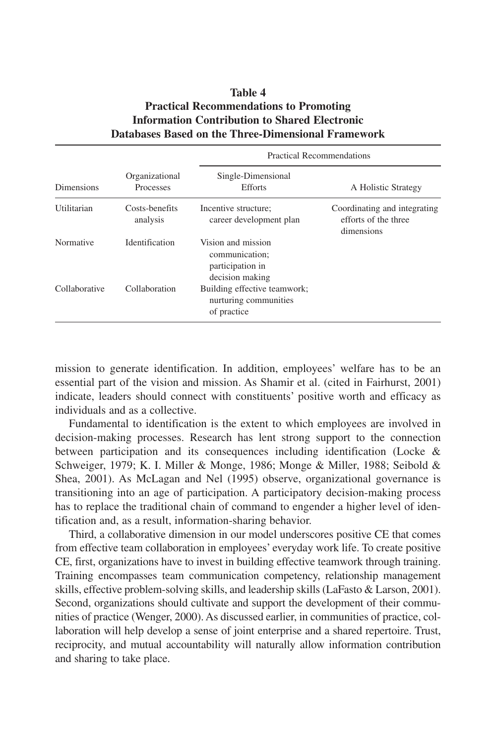### **Table 4 Practical Recommendations to Promoting Information Contribution to Shared Electronic Databases Based on the Three-Dimensional Framework**

| <b>Dimensions</b> |                             | <b>Practical Recommendations</b>                                            |                                                                    |  |  |
|-------------------|-----------------------------|-----------------------------------------------------------------------------|--------------------------------------------------------------------|--|--|
|                   | Organizational<br>Processes | Single-Dimensional<br><b>Efforts</b>                                        | A Holistic Strategy                                                |  |  |
| Utilitarian       | Costs-benefits<br>analysis  | Incentive structure;<br>career development plan                             | Coordinating and integrating<br>efforts of the three<br>dimensions |  |  |
| Normative         | <b>Identification</b>       | Vision and mission<br>communication:<br>participation in<br>decision making |                                                                    |  |  |
| Collaborative     | Collaboration               | Building effective teamwork;<br>nurturing communities<br>of practice        |                                                                    |  |  |

mission to generate identification. In addition, employees' welfare has to be an essential part of the vision and mission. As Shamir et al. (cited in Fairhurst, 2001) indicate, leaders should connect with constituents' positive worth and efficacy as individuals and as a collective.

Fundamental to identification is the extent to which employees are involved in decision-making processes. Research has lent strong support to the connection between participation and its consequences including identification (Locke & Schweiger, 1979; K. I. Miller & Monge, 1986; Monge & Miller, 1988; Seibold & Shea, 2001). As McLagan and Nel (1995) observe, organizational governance is transitioning into an age of participation. A participatory decision-making process has to replace the traditional chain of command to engender a higher level of identification and, as a result, information-sharing behavior.

Third, a collaborative dimension in our model underscores positive CE that comes from effective team collaboration in employees' everyday work life. To create positive CE, first, organizations have to invest in building effective teamwork through training. Training encompasses team communication competency, relationship management skills, effective problem-solving skills, and leadership skills (LaFasto & Larson, 2001). Second, organizations should cultivate and support the development of their communities of practice (Wenger, 2000). As discussed earlier, in communities of practice, collaboration will help develop a sense of joint enterprise and a shared repertoire. Trust, reciprocity, and mutual accountability will naturally allow information contribution and sharing to take place.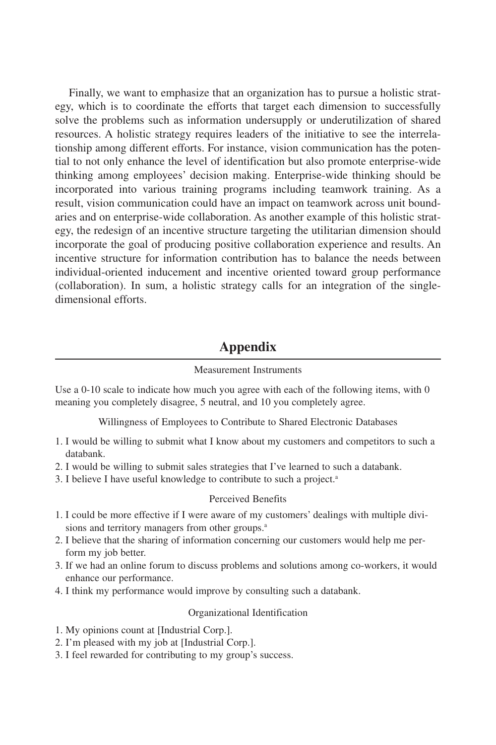Finally, we want to emphasize that an organization has to pursue a holistic strategy, which is to coordinate the efforts that target each dimension to successfully solve the problems such as information undersupply or underutilization of shared resources. A holistic strategy requires leaders of the initiative to see the interrelationship among different efforts. For instance, vision communication has the potential to not only enhance the level of identification but also promote enterprise-wide thinking among employees' decision making. Enterprise-wide thinking should be incorporated into various training programs including teamwork training. As a result, vision communication could have an impact on teamwork across unit boundaries and on enterprise-wide collaboration. As another example of this holistic strategy, the redesign of an incentive structure targeting the utilitarian dimension should incorporate the goal of producing positive collaboration experience and results. An incentive structure for information contribution has to balance the needs between individual-oriented inducement and incentive oriented toward group performance (collaboration). In sum, a holistic strategy calls for an integration of the singledimensional efforts.

# **Appendix**

#### Measurement Instruments

Use a 0-10 scale to indicate how much you agree with each of the following items, with 0 meaning you completely disagree, 5 neutral, and 10 you completely agree.

Willingness of Employees to Contribute to Shared Electronic Databases

- 1. I would be willing to submit what I know about my customers and competitors to such a databank.
- 2. I would be willing to submit sales strategies that I've learned to such a databank.
- 3. I believe I have useful knowledge to contribute to such a project.<sup>a</sup>

#### Perceived Benefits

- 1. I could be more effective if I were aware of my customers' dealings with multiple divisions and territory managers from other groups.<sup>a</sup>
- 2. I believe that the sharing of information concerning our customers would help me perform my job better.
- 3. If we had an online forum to discuss problems and solutions among co-workers, it would enhance our performance.
- 4. I think my performance would improve by consulting such a databank.

#### Organizational Identification

- 1. My opinions count at [Industrial Corp.].
- 2. I'm pleased with my job at [Industrial Corp.].
- 3. I feel rewarded for contributing to my group's success.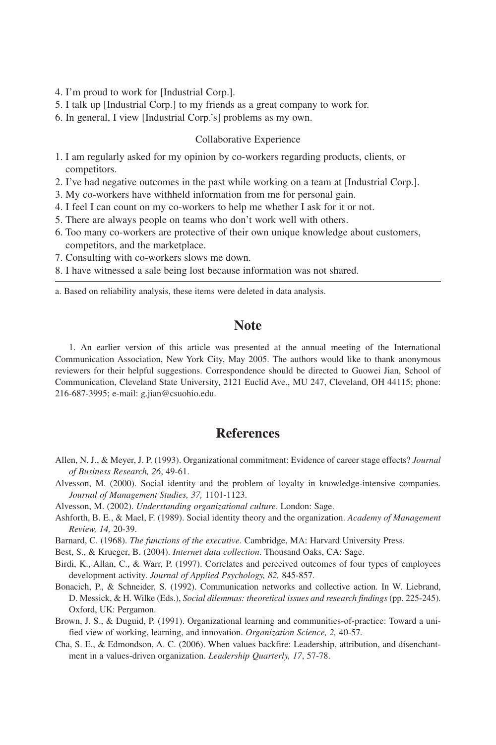- 4. I'm proud to work for [Industrial Corp.].
- 5. I talk up [Industrial Corp.] to my friends as a great company to work for.
- 6. In general, I view [Industrial Corp.'s] problems as my own.

#### Collaborative Experience

- 1. I am regularly asked for my opinion by co-workers regarding products, clients, or competitors.
- 2. I've had negative outcomes in the past while working on a team at [Industrial Corp.].
- 3. My co-workers have withheld information from me for personal gain.
- 4. I feel I can count on my co-workers to help me whether I ask for it or not.
- 5. There are always people on teams who don't work well with others.
- 6. Too many co-workers are protective of their own unique knowledge about customers, competitors, and the marketplace.
- 7. Consulting with co-workers slows me down.
- 8. I have witnessed a sale being lost because information was not shared.

a. Based on reliability analysis, these items were deleted in data analysis.

## **Note**

1. An earlier version of this article was presented at the annual meeting of the International Communication Association, New York City, May 2005. The authors would like to thank anonymous reviewers for their helpful suggestions. Correspondence should be directed to Guowei Jian, School of Communication, Cleveland State University, 2121 Euclid Ave., MU 247, Cleveland, OH 44115; phone: 216-687-3995; e-mail: g.jian@csuohio.edu.

# **References**

Allen, N. J., & Meyer, J. P. (1993). Organizational commitment: Evidence of career stage effects? *Journal of Business Research, 26*, 49-61.

Alvesson, M. (2000). Social identity and the problem of loyalty in knowledge-intensive companies. *Journal of Management Studies, 37,* 1101-1123.

Alvesson, M. (2002). *Understanding organizational culture*. London: Sage.

- Ashforth, B. E., & Mael, F. (1989). Social identity theory and the organization. *Academy of Management Review, 14,* 20-39.
- Barnard, C. (1968). *The functions of the executive*. Cambridge, MA: Harvard University Press.

Best, S., & Krueger, B. (2004). *Internet data collection*. Thousand Oaks, CA: Sage.

Birdi, K., Allan, C., & Warr, P. (1997). Correlates and perceived outcomes of four types of employees development activity. *Journal of Applied Psychology, 82,* 845-857.

- Bonacich, P., & Schneider, S. (1992). Communication networks and collective action. In W. Liebrand, D. Messick, & H. Wilke (Eds.), *Social dilemmas: theoretical issues and research findings* (pp. 225-245). Oxford, UK: Pergamon.
- Brown, J. S., & Duguid, P. (1991). Organizational learning and communities-of-practice: Toward a unified view of working, learning, and innovation. *Organization Science, 2,* 40-57*.*
- Cha, S. E., & Edmondson, A. C. (2006). When values backfire: Leadership, attribution, and disenchantment in a values-driven organization. *Leadership Quarterly, 17*, 57-78.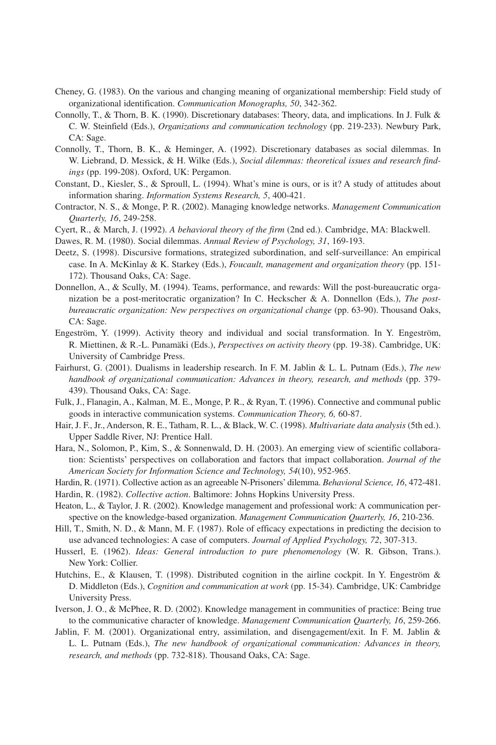- Cheney, G. (1983). On the various and changing meaning of organizational membership: Field study of organizational identification. *Communication Monographs, 50*, 342-362.
- Connolly, T., & Thorn, B. K. (1990). Discretionary databases: Theory, data, and implications. In J. Fulk & C. W. Steinfield (Eds.), *Organizations and communication technology* (pp. 219-233). Newbury Park, CA: Sage.
- Connolly, T., Thorn, B. K., & Heminger, A. (1992). Discretionary databases as social dilemmas. In W. Liebrand, D. Messick, & H. Wilke (Eds.), *Social dilemmas: theoretical issues and research findings* (pp. 199-208). Oxford, UK: Pergamon.
- Constant, D., Kiesler, S., & Sproull, L. (1994). What's mine is ours, or is it? A study of attitudes about information sharing. *Information Systems Research, 5*, 400-421.
- Contractor, N. S., & Monge, P. R. (2002). Managing knowledge networks. *Management Communication Quarterly, 16*, 249-258.
- Cyert, R., & March, J. (1992). *A behavioral theory of the firm* (2nd ed.). Cambridge, MA: Blackwell.
- Dawes, R. M. (1980). Social dilemmas. *Annual Review of Psychology, 31*, 169-193.
- Deetz, S. (1998). Discursive formations, strategized subordination, and self-surveillance: An empirical case. In A. McKinlay & K. Starkey (Eds.), *Foucault, management and organization theory* (pp. 151- 172). Thousand Oaks, CA: Sage.
- Donnellon, A., & Scully, M. (1994). Teams, performance, and rewards: Will the post-bureaucratic organization be a post-meritocratic organization? In C. Heckscher & A. Donnellon (Eds.), *The postbureaucratic organization: New perspectives on organizational change* (pp. 63-90). Thousand Oaks, CA: Sage.
- Engeström, Y. (1999). Activity theory and individual and social transformation. In Y. Engeström, R. Miettinen, & R.-L. Punamäki (Eds.), *Perspectives on activity theory* (pp. 19-38). Cambridge, UK: University of Cambridge Press.
- Fairhurst, G. (2001). Dualisms in leadership research. In F. M. Jablin & L. L. Putnam (Eds.), *The new handbook of organizational communication: Advances in theory, research, and methods* (pp. 379- 439). Thousand Oaks, CA: Sage.
- Fulk, J., Flanagin, A., Kalman, M. E., Monge, P. R., & Ryan, T. (1996). Connective and communal public goods in interactive communication systems. *Communication Theory, 6,* 60-87.
- Hair, J. F., Jr., Anderson, R. E., Tatham, R. L., & Black, W. C. (1998). *Multivariate data analysis* (5th ed.). Upper Saddle River, NJ: Prentice Hall.
- Hara, N., Solomon, P., Kim, S., & Sonnenwald, D. H. (2003). An emerging view of scientific collaboration: Scientists' perspectives on collaboration and factors that impact collaboration. *Journal of the American Society for Information Science and Technology, 54*(10), 952-965.
- Hardin, R. (1971). Collective action as an agreeable N-Prisoners' dilemma. *Behavioral Science, 16*, 472-481.
- Hardin, R. (1982). *Collective action*. Baltimore: Johns Hopkins University Press.
- Heaton, L., & Taylor, J. R. (2002). Knowledge management and professional work: A communication perspective on the knowledge-based organization. *Management Communication Quarterly, 16*, 210-236.
- Hill, T., Smith, N. D., & Mann, M. F. (1987). Role of efficacy expectations in predicting the decision to use advanced technologies: A case of computers. *Journal of Applied Psychology, 72*, 307-313.
- Husserl, E. (1962). *Ideas: General introduction to pure phenomenology* (W. R. Gibson, Trans.). New York: Collier.
- Hutchins, E., & Klausen, T. (1998). Distributed cognition in the airline cockpit. In Y. Engeström & D. Middleton (Eds.), *Cognition and communication at work* (pp. 15-34). Cambridge, UK: Cambridge University Press.
- Iverson, J. O., & McPhee, R. D. (2002). Knowledge management in communities of practice: Being true to the communicative character of knowledge. *Management Communication Quarterly, 16*, 259-266.
- Jablin, F. M. (2001). Organizational entry, assimilation, and disengagement/exit. In F. M. Jablin & L. L. Putnam (Eds.), *The new handbook of organizational communication: Advances in theory, research, and methods* (pp. 732-818). Thousand Oaks, CA: Sage.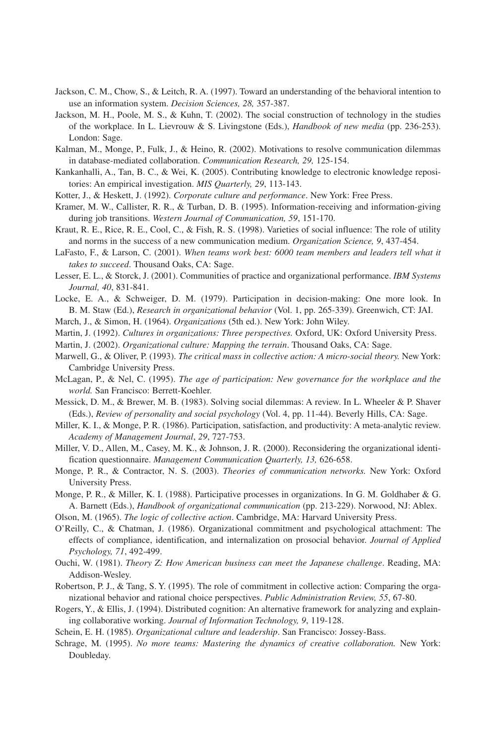- Jackson, C. M., Chow, S., & Leitch, R. A. (1997). Toward an understanding of the behavioral intention to use an information system. *Decision Sciences, 28,* 357-387.
- Jackson, M. H., Poole, M. S., & Kuhn, T. (2002). The social construction of technology in the studies of the workplace. In L. Lievrouw & S. Livingstone (Eds.), *Handbook of new media* (pp. 236-253). London: Sage.
- Kalman, M., Monge, P., Fulk, J., & Heino, R. (2002). Motivations to resolve communication dilemmas in database-mediated collaboration. *Communication Research, 29,* 125-154.
- Kankanhalli, A., Tan, B. C., & Wei, K. (2005). Contributing knowledge to electronic knowledge repositories: An empirical investigation. *MIS Quarterly, 29*, 113-143.
- Kotter, J., & Heskett, J. (1992). *Corporate culture and performance*. New York: Free Press.
- Kramer, M. W., Callister, R. R., & Turban, D. B. (1995). Information-receiving and information-giving during job transitions. *Western Journal of Communication, 59*, 151-170.
- Kraut, R. E., Rice, R. E., Cool, C., & Fish, R. S. (1998). Varieties of social influence: The role of utility and norms in the success of a new communication medium. *Organization Science, 9*, 437-454.
- LaFasto, F., & Larson, C. (2001). *When teams work best: 6000 team members and leaders tell what it takes to succeed*. Thousand Oaks, CA: Sage.
- Lesser, E. L., & Storck, J. (2001). Communities of practice and organizational performance. *IBM Systems Journal, 40*, 831-841.
- Locke, E. A., & Schweiger, D. M. (1979). Participation in decision-making: One more look. In B. M. Staw (Ed.), *Research in organizational behavior* (Vol. 1, pp. 265-339). Greenwich, CT: JAI.
- March, J., & Simon, H. (1964). *Organizations* (5th ed.). New York: John Wiley.

Martin, J. (1992). *Cultures in organizations: Three perspectives.* Oxford, UK: Oxford University Press.

- Martin, J. (2002). *Organizational culture: Mapping the terrain*. Thousand Oaks, CA: Sage.
- Marwell, G., & Oliver, P. (1993). *The critical mass in collective action: A micro-social theory.* New York: Cambridge University Press.
- McLagan, P., & Nel, C. (1995). *The age of participation: New governance for the workplace and the world.* San Francisco: Berrett-Koehler.
- Messick, D. M., & Brewer, M. B. (1983). Solving social dilemmas: A review. In L. Wheeler & P. Shaver (Eds.), *Review of personality and social psychology* (Vol. 4, pp. 11-44). Beverly Hills, CA: Sage.
- Miller, K. I., & Monge, P. R. (1986). Participation, satisfaction, and productivity: A meta-analytic review. *Academy of Management Journal*, *29*, 727-753.
- Miller, V. D., Allen, M., Casey, M. K., & Johnson, J. R. (2000). Reconsidering the organizational identification questionnaire. *Management Communication Quarterly, 13,* 626-658.
- Monge, P. R., & Contractor, N. S. (2003). *Theories of communication networks.* New York: Oxford University Press.
- Monge, P. R., & Miller, K. I. (1988). Participative processes in organizations. In G. M. Goldhaber & G. A. Barnett (Eds.), *Handbook of organizational communication* (pp. 213-229). Norwood, NJ: Ablex.
- Olson, M. (1965). *The logic of collective action*. Cambridge, MA: Harvard University Press.
- O'Reilly, C., & Chatman, J. (1986). Organizational commitment and psychological attachment: The effects of compliance, identification, and internalization on prosocial behavior. *Journal of Applied Psychology, 71*, 492-499.
- Ouchi, W. (1981). *Theory Z: How American business can meet the Japanese challenge*. Reading, MA: Addison-Wesley.
- Robertson, P. J., & Tang, S. Y. (1995). The role of commitment in collective action: Comparing the organizational behavior and rational choice perspectives. *Public Administration Review, 55*, 67-80.
- Rogers, Y., & Ellis, J. (1994). Distributed cognition: An alternative framework for analyzing and explaining collaborative working. *Journal of Information Technology, 9*, 119-128.
- Schein, E. H. (1985). *Organizational culture and leadership*. San Francisco: Jossey-Bass.
- Schrage, M. (1995). *No more teams: Mastering the dynamics of creative collaboration.* New York: Doubleday.